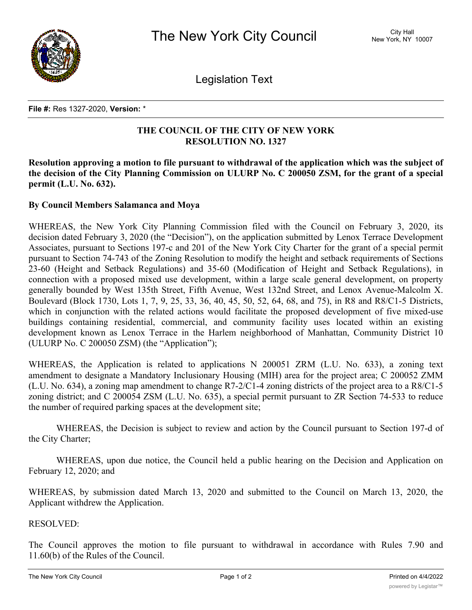

Legislation Text

## **File #:** Res 1327-2020, **Version:** \*

## **THE COUNCIL OF THE CITY OF NEW YORK RESOLUTION NO. 1327**

**Resolution approving a motion to file pursuant to withdrawal of the application which was the subject of** the decision of the City Planning Commission on ULURP No. C 200050 ZSM, for the grant of a special **permit (L.U. No. 632).**

## **By Council Members Salamanca and Moya**

WHEREAS, the New York City Planning Commission filed with the Council on February 3, 2020, its decision dated February 3, 2020 (the "Decision"), on the application submitted by Lenox Terrace Development Associates, pursuant to Sections 197-c and 201 of the New York City Charter for the grant of a special permit pursuant to Section 74-743 of the Zoning Resolution to modify the height and setback requirements of Sections 23-60 (Height and Setback Regulations) and 35-60 (Modification of Height and Setback Regulations), in connection with a proposed mixed use development, within a large scale general development, on property generally bounded by West 135th Street, Fifth Avenue, West 132nd Street, and Lenox Avenue-Malcolm X. Boulevard (Block 1730, Lots 1, 7, 9, 25, 33, 36, 40, 45, 50, 52, 64, 68, and 75), in R8 and R8/C1-5 Districts, which in conjunction with the related actions would facilitate the proposed development of five mixed-use buildings containing residential, commercial, and community facility uses located within an existing development known as Lenox Terrace in the Harlem neighborhood of Manhattan, Community District 10 (ULURP No. C 200050 ZSM) (the "Application");

WHEREAS, the Application is related to applications N 200051 ZRM (L.U. No. 633), a zoning text amendment to designate a Mandatory Inclusionary Housing (MIH) area for the project area; C 200052 ZMM (L.U. No. 634), a zoning map amendment to change R7-2/C1-4 zoning districts of the project area to a R8/C1-5 zoning district; and C 200054 ZSM (L.U. No. 635), a special permit pursuant to ZR Section 74-533 to reduce the number of required parking spaces at the development site;

WHEREAS, the Decision is subject to review and action by the Council pursuant to Section 197-d of the City Charter;

WHEREAS, upon due notice, the Council held a public hearing on the Decision and Application on February 12, 2020; and

WHEREAS, by submission dated March 13, 2020 and submitted to the Council on March 13, 2020, the Applicant withdrew the Application.

## RESOLVED:

The Council approves the motion to file pursuant to withdrawal in accordance with Rules 7.90 and 11.60(b) of the Rules of the Council.